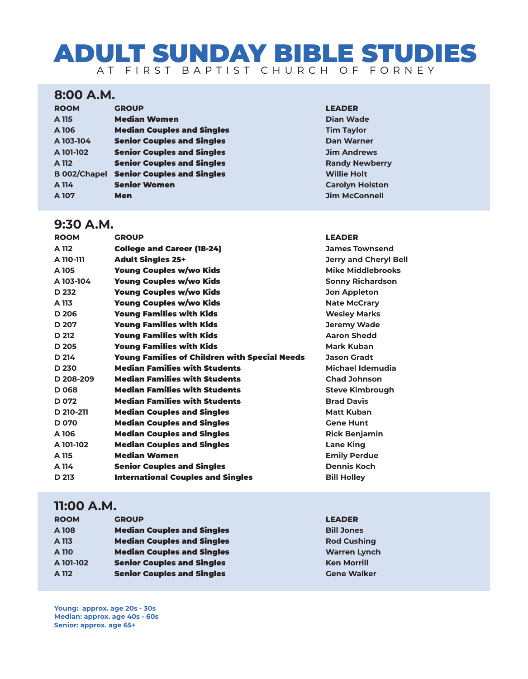# ADULT SUNDAY BIBLE STUDIES AT FIRST BAPTIST CHURCH OF FORNEY

## **8:00 A.M.**

| <b>ROOM</b> | <b>GROUP</b>                                   | <b>LEADER</b>    |
|-------------|------------------------------------------------|------------------|
| A 115       | <b>Median Women</b>                            | <b>Dian Wa</b>   |
| A 106       | <b>Median Couples and Singles</b>              | <b>Tim Tayl</b>  |
| A 103-104   | <b>Senior Couples and Singles</b>              | Dan War          |
| A 101-102   | <b>Senior Couples and Singles</b>              | <b>Jim And</b>   |
| A 112       | <b>Senior Couples and Singles</b>              | <b>Randy N</b>   |
|             | <b>B 002/Chapel Senior Couples and Singles</b> | <b>Willie He</b> |
| A 114       | <b>Senior Women</b>                            | Carolyn          |
| A 107       | <b>Men</b>                                     | <b>Jim McC</b>   |

### **9:30 A.M.**

**A** Dian Wade **Tim Taylor Dan Warner Jim Andrews Randy Newberry Willie Holt Carolyn Holston Jim McConnell** 

| <b>ROOM</b>      | <b>GROUP</b>                                  | <b>LEADER</b>                |
|------------------|-----------------------------------------------|------------------------------|
| A 112            | <b>College and Career (18-24)</b>             | <b>James Townsend</b>        |
| A 110-111        | <b>Adult Singles 25+</b>                      | <b>Jerry and Cheryl Bell</b> |
| A 105            | <b>Young Couples w/wo Kids</b>                | Mike Middlebrooks            |
| A 103-104        | Young Couples w/wo Kids                       | <b>Sonny Richardson</b>      |
| D 232            | <b>Young Couples w/wo Kids</b>                | <b>Jon Appleton</b>          |
| A 113            | <b>Young Couples w/wo Kids</b>                | <b>Nate McCrary</b>          |
| D 206            | <b>Young Families with Kids</b>               | <b>Wesley Marks</b>          |
| D 207            | <b>Young Families with Kids</b>               | <b>Jeremy Wade</b>           |
| D 212            | <b>Young Families with Kids</b>               | <b>Aaron Shedd</b>           |
| D 205            | <b>Young Families with Kids</b>               | <b>Mark Kuban</b>            |
| D 214            | Young Families of Children with Special Needs | <b>Jason Gradt</b>           |
| D 230            | <b>Median Families with Students</b>          | Michael Idemudia             |
| D 208-209        | <b>Median Families with Students</b>          | <b>Chad Johnson</b>          |
| D 068            | <b>Median Families with Students</b>          | <b>Steve Kimbrough</b>       |
| D <sub>072</sub> | <b>Median Families with Students</b>          | <b>Brad Davis</b>            |
| D 210-211        | <b>Median Couples and Singles</b>             | <b>Matt Kuban</b>            |
| D <sub>070</sub> | <b>Median Couples and Singles</b>             | <b>Gene Hunt</b>             |
| A 106            | <b>Median Couples and Singles</b>             | <b>Rick Benjamin</b>         |
| A 101-102        | <b>Median Couples and Singles</b>             | <b>Lane King</b>             |
| A 115            | <b>Median Women</b>                           | <b>Emily Perdue</b>          |
| A 114            | <b>Senior Couples and Singles</b>             | <b>Dennis Koch</b>           |
| D 213            | <b>International Couples and Singles</b>      | <b>Bill Holley</b>           |
|                  |                                               |                              |

# **11:00 A.M.**

| <b>ROOM</b> | <b>GROUP</b>                      | <b>LEADER</b>       |
|-------------|-----------------------------------|---------------------|
| A 108       | <b>Median Couples and Singles</b> | <b>Bill Jones</b>   |
| A 113       | <b>Median Couples and Singles</b> | <b>Rod Cushing</b>  |
| A 110       | <b>Median Couples and Singles</b> | <b>Warren Lynch</b> |
| A 101-102   | <b>Senior Couples and Singles</b> | <b>Ken Morrill</b>  |
| A 112       | <b>Senior Couples and Singles</b> | <b>Gene Walker</b>  |

**Young: approx. age 20s - 30s Median: approx. age 40s - 60s Senior: approx. age 65+**